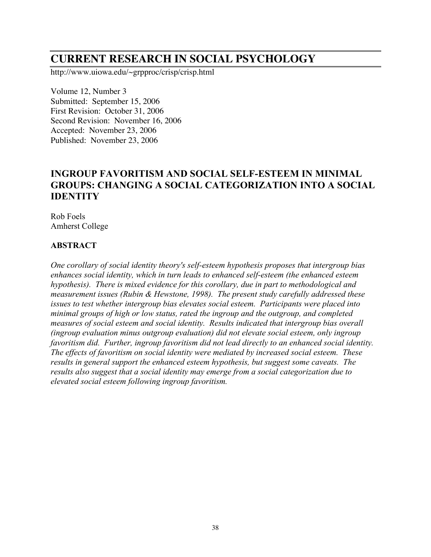# **CURRENT RESEARCH IN SOCIAL PSYCHOLOGY**

http://www.uiowa.edu/~grpproc/crisp/crisp.html

Volume 12, Number 3 Submitted: September 15, 2006 First Revision: October 31, 2006 Second Revision: November 16, 2006 Accepted: November 23, 2006 Published: November 23, 2006

# **INGROUP FAVORITISM AND SOCIAL SELF-ESTEEM IN MINIMAL GROUPS: CHANGING A SOCIAL CATEGORIZATION INTO A SOCIAL IDENTITY**

Rob Foels Amherst College

#### **ABSTRACT**

*One corollary of social identity theory's self-esteem hypothesis proposes that intergroup bias enhances social identity, which in turn leads to enhanced self-esteem (the enhanced esteem hypothesis). There is mixed evidence for this corollary, due in part to methodological and measurement issues (Rubin & Hewstone, 1998). The present study carefully addressed these issues to test whether intergroup bias elevates social esteem. Participants were placed into minimal groups of high or low status, rated the ingroup and the outgroup, and completed measures of social esteem and social identity. Results indicated that intergroup bias overall (ingroup evaluation minus outgroup evaluation) did not elevate social esteem, only ingroup favoritism did. Further, ingroup favoritism did not lead directly to an enhanced social identity. The effects of favoritism on social identity were mediated by increased social esteem. These results in general support the enhanced esteem hypothesis, but suggest some caveats. The results also suggest that a social identity may emerge from a social categorization due to elevated social esteem following ingroup favoritism.*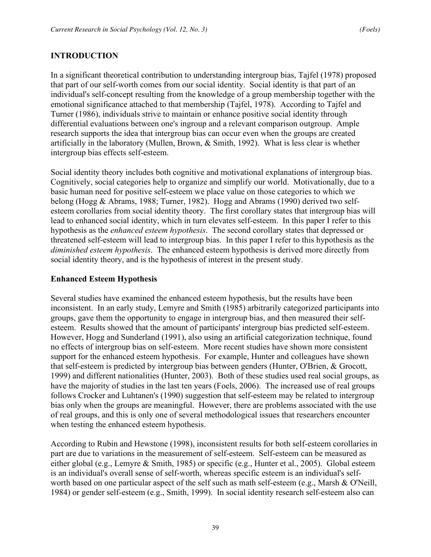# **INTRODUCTION**

In a significant theoretical contribution to understanding intergroup bias, Tajfel (1978) proposed that part of our self-worth comes from our social identity. Social identity is that part of an individual's self-concept resulting from the knowledge of a group membership together with the emotional significance attached to that membership (Tajfel, 1978). According to Tajfel and Turner (1986), individuals strive to maintain or enhance positive social identity through differential evaluations between one's ingroup and a relevant comparison outgroup. Ample research supports the idea that intergroup bias can occur even when the groups are created artificially in the laboratory (Mullen, Brown, & Smith, 1992). What is less clear is whether intergroup bias effects self-esteem.

Social identity theory includes both cognitive and motivational explanations of intergroup bias. Cognitively, social categories help to organize and simplify our world. Motivationally, due to a basic human need for positive self-esteem we place value on those categories to which we belong (Hogg & Abrams, 1988; Turner, 1982). Hogg and Abrams (1990) derived two selfesteem corollaries from social identity theory. The first corollary states that intergroup bias will lead to enhanced social identity, which in turn elevates self-esteem. In this paper I refer to this hypothesis as the *enhanced esteem hypothesis*. The second corollary states that depressed or threatened self-esteem will lead to intergroup bias. In this paper I refer to this hypothesis as the *diminished esteem hypothesis*. The enhanced esteem hypothesis is derived more directly from social identity theory, and is the hypothesis of interest in the present study.

#### **Enhanced Esteem Hypothesis**

Several studies have examined the enhanced esteem hypothesis, but the results have been inconsistent. In an early study, Lemyre and Smith (1985) arbitrarily categorized participants into groups, gave them the opportunity to engage in intergroup bias, and then measured their selfesteem. Results showed that the amount of participants' intergroup bias predicted self-esteem. However, Hogg and Sunderland (1991), also using an artificial categorization technique, found no effects of intergroup bias on self-esteem. More recent studies have shown more consistent support for the enhanced esteem hypothesis. For example, Hunter and colleagues have shown that self-esteem is predicted by intergroup bias between genders (Hunter, O'Brien, & Grocott, 1999) and different nationalities (Hunter, 2003). Both of these studies used real social groups, as have the majority of studies in the last ten years (Foels, 2006). The increased use of real groups follows Crocker and Luhtanen's (1990) suggestion that self-esteem may be related to intergroup bias only when the groups are meaningful. However, there are problems associated with the use of real groups, and this is only one of several methodological issues that researchers encounter when testing the enhanced esteem hypothesis.

According to Rubin and Hewstone (1998), inconsistent results for both self-esteem corollaries in part are due to variations in the measurement of self-esteem. Self-esteem can be measured as either global (e.g., Lemyre & Smith, 1985) or specific (e.g., Hunter et al., 2005). Global esteem is an individual's overall sense of self-worth, whereas specific esteem is an individual's selfworth based on one particular aspect of the self such as math self-esteem (e.g., Marsh & O'Neill, 1984) or gender self-esteem (e.g., Smith, 1999). In social identity research self-esteem also can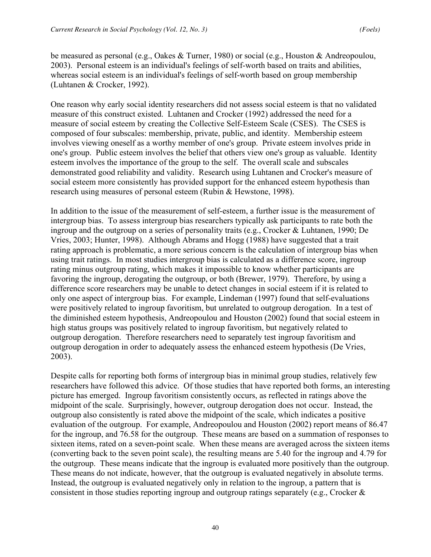be measured as personal (e.g., Oakes & Turner, 1980) or social (e.g., Houston & Andreopoulou, 2003). Personal esteem is an individual's feelings of self-worth based on traits and abilities, whereas social esteem is an individual's feelings of self-worth based on group membership (Luhtanen & Crocker, 1992).

One reason why early social identity researchers did not assess social esteem is that no validated measure of this construct existed. Luhtanen and Crocker (1992) addressed the need for a measure of social esteem by creating the Collective Self-Esteem Scale (CSES). The CSES is composed of four subscales: membership, private, public, and identity. Membership esteem involves viewing oneself as a worthy member of one's group. Private esteem involves pride in one's group. Public esteem involves the belief that others view one's group as valuable. Identity esteem involves the importance of the group to the self. The overall scale and subscales demonstrated good reliability and validity. Research using Luhtanen and Crocker's measure of social esteem more consistently has provided support for the enhanced esteem hypothesis than research using measures of personal esteem (Rubin & Hewstone, 1998).

In addition to the issue of the measurement of self-esteem, a further issue is the measurement of intergroup bias. To assess intergroup bias researchers typically ask participants to rate both the ingroup and the outgroup on a series of personality traits (e.g., Crocker & Luhtanen, 1990; De Vries, 2003; Hunter, 1998). Although Abrams and Hogg (1988) have suggested that a trait rating approach is problematic, a more serious concern is the calculation of intergroup bias when using trait ratings. In most studies intergroup bias is calculated as a difference score, ingroup rating minus outgroup rating, which makes it impossible to know whether participants are favoring the ingroup, derogating the outgroup, or both (Brewer, 1979). Therefore, by using a difference score researchers may be unable to detect changes in social esteem if it is related to only one aspect of intergroup bias. For example, Lindeman (1997) found that self-evaluations were positively related to ingroup favoritism, but unrelated to outgroup derogation. In a test of the diminished esteem hypothesis, Andreopoulou and Houston (2002) found that social esteem in high status groups was positively related to ingroup favoritism, but negatively related to outgroup derogation. Therefore researchers need to separately test ingroup favoritism and outgroup derogation in order to adequately assess the enhanced esteem hypothesis (De Vries, 2003).

Despite calls for reporting both forms of intergroup bias in minimal group studies, relatively few researchers have followed this advice. Of those studies that have reported both forms, an interesting picture has emerged. Ingroup favoritism consistently occurs, as reflected in ratings above the midpoint of the scale. Surprisingly, however, outgroup derogation does not occur. Instead, the outgroup also consistently is rated above the midpoint of the scale, which indicates a positive evaluation of the outgroup. For example, Andreopoulou and Houston (2002) report means of 86.47 for the ingroup, and 76.58 for the outgroup. These means are based on a summation of responses to sixteen items, rated on a seven-point scale. When these means are averaged across the sixteen items (converting back to the seven point scale), the resulting means are 5.40 for the ingroup and 4.79 for the outgroup. These means indicate that the ingroup is evaluated more positively than the outgroup. These means do not indicate, however, that the outgroup is evaluated negatively in absolute terms. Instead, the outgroup is evaluated negatively only in relation to the ingroup, a pattern that is consistent in those studies reporting ingroup and outgroup ratings separately (e.g., Crocker &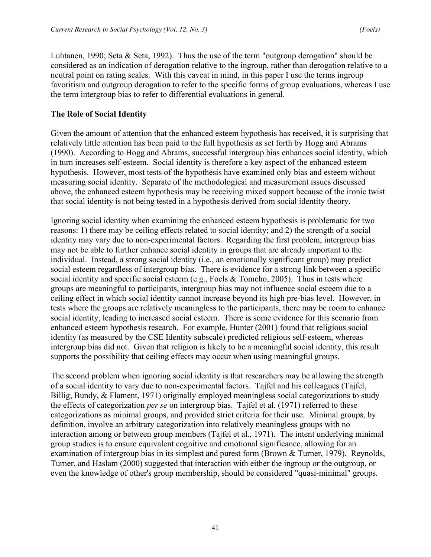Luhtanen, 1990; Seta & Seta, 1992). Thus the use of the term "outgroup derogation" should be considered as an indication of derogation relative to the ingroup, rather than derogation relative to a neutral point on rating scales. With this caveat in mind, in this paper I use the terms ingroup favoritism and outgroup derogation to refer to the specific forms of group evaluations, whereas I use the term intergroup bias to refer to differential evaluations in general.

#### **The Role of Social Identity**

Given the amount of attention that the enhanced esteem hypothesis has received, it is surprising that relatively little attention has been paid to the full hypothesis as set forth by Hogg and Abrams (1990). According to Hogg and Abrams, successful intergroup bias enhances social identity, which in turn increases self-esteem. Social identity is therefore a key aspect of the enhanced esteem hypothesis. However, most tests of the hypothesis have examined only bias and esteem without measuring social identity. Separate of the methodological and measurement issues discussed above, the enhanced esteem hypothesis may be receiving mixed support because of the ironic twist that social identity is not being tested in a hypothesis derived from social identity theory.

Ignoring social identity when examining the enhanced esteem hypothesis is problematic for two reasons: 1) there may be ceiling effects related to social identity; and 2) the strength of a social identity may vary due to non-experimental factors. Regarding the first problem, intergroup bias may not be able to further enhance social identity in groups that are already important to the individual. Instead, a strong social identity (i.e., an emotionally significant group) may predict social esteem regardless of intergroup bias. There is evidence for a strong link between a specific social identity and specific social esteem (e.g., Foels & Tomcho, 2005). Thus in tests where groups are meaningful to participants, intergroup bias may not influence social esteem due to a ceiling effect in which social identity cannot increase beyond its high pre-bias level. However, in tests where the groups are relatively meaningless to the participants, there may be room to enhance social identity, leading to increased social esteem. There is some evidence for this scenario from enhanced esteem hypothesis research. For example, Hunter (2001) found that religious social identity (as measured by the CSE Identity subscale) predicted religious self-esteem, whereas intergroup bias did not. Given that religion is likely to be a meaningful social identity, this result supports the possibility that ceiling effects may occur when using meaningful groups.

The second problem when ignoring social identity is that researchers may be allowing the strength of a social identity to vary due to non-experimental factors. Tajfel and his colleagues (Tajfel, Billig, Bundy, & Flament, 1971) originally employed meaningless social categorizations to study the effects of categorization *per se* on intergroup bias. Tajfel et al. (1971) referred to these categorizations as minimal groups, and provided strict criteria for their use. Minimal groups, by definition, involve an arbitrary categorization into relatively meaningless groups with no interaction among or between group members (Tajfel et al., 1971). The intent underlying minimal group studies is to ensure equivalent cognitive and emotional significance, allowing for an examination of intergroup bias in its simplest and purest form (Brown & Turner, 1979). Reynolds, Turner, and Haslam (2000) suggested that interaction with either the ingroup or the outgroup, or even the knowledge of other's group membership, should be considered "quasi-minimal" groups.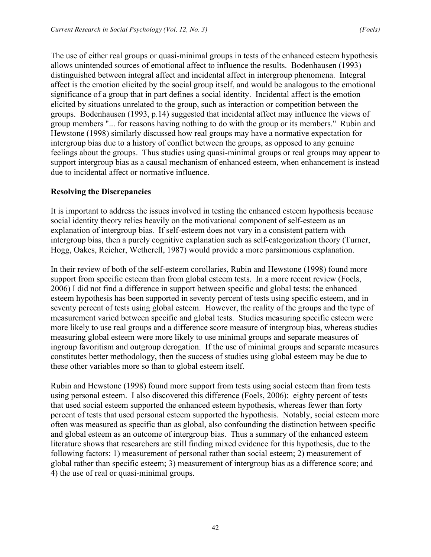The use of either real groups or quasi-minimal groups in tests of the enhanced esteem hypothesis allows unintended sources of emotional affect to influence the results. Bodenhausen (1993) distinguished between integral affect and incidental affect in intergroup phenomena. Integral affect is the emotion elicited by the social group itself, and would be analogous to the emotional significance of a group that in part defines a social identity. Incidental affect is the emotion elicited by situations unrelated to the group, such as interaction or competition between the groups. Bodenhausen (1993, p.14) suggested that incidental affect may influence the views of group members "... for reasons having nothing to do with the group or its members." Rubin and Hewstone (1998) similarly discussed how real groups may have a normative expectation for intergroup bias due to a history of conflict between the groups, as opposed to any genuine feelings about the groups. Thus studies using quasi-minimal groups or real groups may appear to support intergroup bias as a causal mechanism of enhanced esteem, when enhancement is instead due to incidental affect or normative influence.

# **Resolving the Discrepancies**

It is important to address the issues involved in testing the enhanced esteem hypothesis because social identity theory relies heavily on the motivational component of self-esteem as an explanation of intergroup bias. If self-esteem does not vary in a consistent pattern with intergroup bias, then a purely cognitive explanation such as self-categorization theory (Turner, Hogg, Oakes, Reicher, Wetherell, 1987) would provide a more parsimonious explanation.

In their review of both of the self-esteem corollaries, Rubin and Hewstone (1998) found more support from specific esteem than from global esteem tests. In a more recent review (Foels, 2006) I did not find a difference in support between specific and global tests: the enhanced esteem hypothesis has been supported in seventy percent of tests using specific esteem, and in seventy percent of tests using global esteem. However, the reality of the groups and the type of measurement varied between specific and global tests. Studies measuring specific esteem were more likely to use real groups and a difference score measure of intergroup bias, whereas studies measuring global esteem were more likely to use minimal groups and separate measures of ingroup favoritism and outgroup derogation. If the use of minimal groups and separate measures constitutes better methodology, then the success of studies using global esteem may be due to these other variables more so than to global esteem itself.

Rubin and Hewstone (1998) found more support from tests using social esteem than from tests using personal esteem. I also discovered this difference (Foels, 2006): eighty percent of tests that used social esteem supported the enhanced esteem hypothesis, whereas fewer than forty percent of tests that used personal esteem supported the hypothesis. Notably, social esteem more often was measured as specific than as global, also confounding the distinction between specific and global esteem as an outcome of intergroup bias. Thus a summary of the enhanced esteem literature shows that researchers are still finding mixed evidence for this hypothesis, due to the following factors: 1) measurement of personal rather than social esteem; 2) measurement of global rather than specific esteem; 3) measurement of intergroup bias as a difference score; and 4) the use of real or quasi-minimal groups.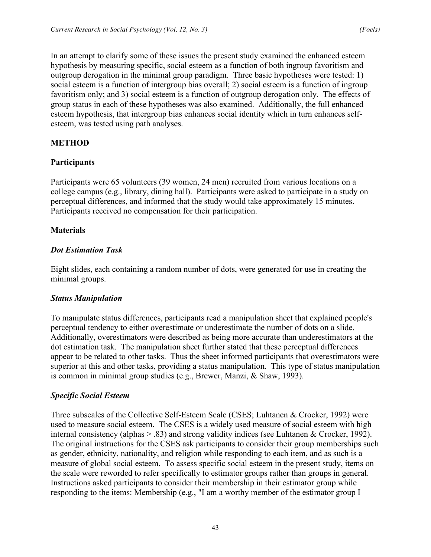In an attempt to clarify some of these issues the present study examined the enhanced esteem hypothesis by measuring specific, social esteem as a function of both ingroup favoritism and outgroup derogation in the minimal group paradigm. Three basic hypotheses were tested: 1) social esteem is a function of intergroup bias overall; 2) social esteem is a function of ingroup favoritism only; and 3) social esteem is a function of outgroup derogation only. The effects of group status in each of these hypotheses was also examined. Additionally, the full enhanced esteem hypothesis, that intergroup bias enhances social identity which in turn enhances selfesteem, was tested using path analyses.

# **METHOD**

# **Participants**

Participants were 65 volunteers (39 women, 24 men) recruited from various locations on a college campus (e.g., library, dining hall). Participants were asked to participate in a study on perceptual differences, and informed that the study would take approximately 15 minutes. Participants received no compensation for their participation.

#### **Materials**

#### *Dot Estimation Task*

Eight slides, each containing a random number of dots, were generated for use in creating the minimal groups.

#### *Status Manipulation*

To manipulate status differences, participants read a manipulation sheet that explained people's perceptual tendency to either overestimate or underestimate the number of dots on a slide. Additionally, overestimators were described as being more accurate than underestimators at the dot estimation task. The manipulation sheet further stated that these perceptual differences appear to be related to other tasks. Thus the sheet informed participants that overestimators were superior at this and other tasks, providing a status manipulation. This type of status manipulation is common in minimal group studies (e.g., Brewer, Manzi, & Shaw, 1993).

#### *Specific Social Esteem*

Three subscales of the Collective Self-Esteem Scale (CSES; Luhtanen & Crocker, 1992) were used to measure social esteem. The CSES is a widely used measure of social esteem with high internal consistency (alphas > .83) and strong validity indices (see Luhtanen & Crocker, 1992). The original instructions for the CSES ask participants to consider their group memberships such as gender, ethnicity, nationality, and religion while responding to each item, and as such is a measure of global social esteem. To assess specific social esteem in the present study, items on the scale were reworded to refer specifically to estimator groups rather than groups in general. Instructions asked participants to consider their membership in their estimator group while responding to the items: Membership (e.g., "I am a worthy member of the estimator group I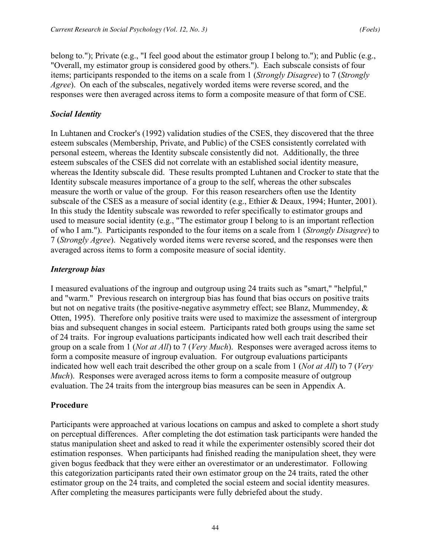belong to."); Private (e.g., "I feel good about the estimator group I belong to."); and Public (e.g., "Overall, my estimator group is considered good by others."). Each subscale consists of four items; participants responded to the items on a scale from 1 (*Strongly Disagree*) to 7 (*Strongly Agree*). On each of the subscales, negatively worded items were reverse scored, and the responses were then averaged across items to form a composite measure of that form of CSE.

# *Social Identity*

In Luhtanen and Crocker's (1992) validation studies of the CSES, they discovered that the three esteem subscales (Membership, Private, and Public) of the CSES consistently correlated with personal esteem, whereas the Identity subscale consistently did not. Additionally, the three esteem subscales of the CSES did not correlate with an established social identity measure, whereas the Identity subscale did. These results prompted Luhtanen and Crocker to state that the Identity subscale measures importance of a group to the self, whereas the other subscales measure the worth or value of the group. For this reason researchers often use the Identity subscale of the CSES as a measure of social identity (e.g., Ethier & Deaux, 1994; Hunter, 2001). In this study the Identity subscale was reworded to refer specifically to estimator groups and used to measure social identity (e.g., "The estimator group I belong to is an important reflection of who I am."). Participants responded to the four items on a scale from 1 (*Strongly Disagree*) to 7 (*Strongly Agree*). Negatively worded items were reverse scored, and the responses were then averaged across items to form a composite measure of social identity.

# *Intergroup bias*

I measured evaluations of the ingroup and outgroup using 24 traits such as "smart," "helpful," and "warm." Previous research on intergroup bias has found that bias occurs on positive traits but not on negative traits (the positive-negative asymmetry effect; see Blanz, Mummendey, & Otten, 1995). Therefore only positive traits were used to maximize the assessment of intergroup bias and subsequent changes in social esteem. Participants rated both groups using the same set of 24 traits. For ingroup evaluations participants indicated how well each trait described their group on a scale from 1 (*Not at All*) to 7 (*Very Much*). Responses were averaged across items to form a composite measure of ingroup evaluation. For outgroup evaluations participants indicated how well each trait described the other group on a scale from 1 (*Not at All*) to 7 (*Very Much*). Responses were averaged across items to form a composite measure of outgroup evaluation. The 24 traits from the intergroup bias measures can be seen in Appendix A.

#### **Procedure**

Participants were approached at various locations on campus and asked to complete a short study on perceptual differences. After completing the dot estimation task participants were handed the status manipulation sheet and asked to read it while the experimenter ostensibly scored their dot estimation responses. When participants had finished reading the manipulation sheet, they were given bogus feedback that they were either an overestimator or an underestimator. Following this categorization participants rated their own estimator group on the 24 traits, rated the other estimator group on the 24 traits, and completed the social esteem and social identity measures. After completing the measures participants were fully debriefed about the study.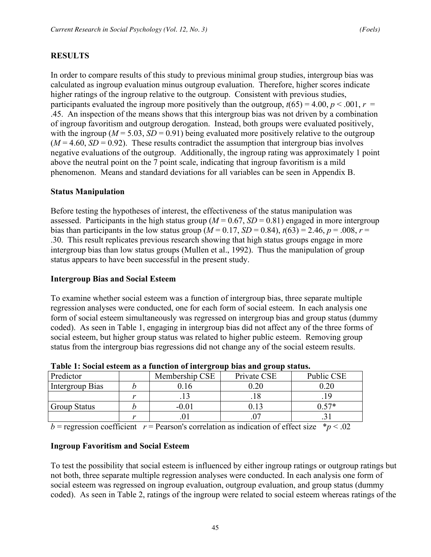# **RESULTS**

In order to compare results of this study to previous minimal group studies, intergroup bias was calculated as ingroup evaluation minus outgroup evaluation. Therefore, higher scores indicate higher ratings of the ingroup relative to the outgroup. Consistent with previous studies, participants evaluated the ingroup more positively than the outgroup,  $t(65) = 4.00$ ,  $p < .001$ ,  $r =$ .45. An inspection of the means shows that this intergroup bias was not driven by a combination of ingroup favoritism and outgroup derogation. Instead, both groups were evaluated positively, with the ingroup ( $M = 5.03$ ,  $SD = 0.91$ ) being evaluated more positively relative to the outgroup  $(M = 4.60, SD = 0.92)$ . These results contradict the assumption that intergroup bias involves negative evaluations of the outgroup. Additionally, the ingroup rating was approximately 1 point above the neutral point on the 7 point scale, indicating that ingroup favoritism is a mild phenomenon. Means and standard deviations for all variables can be seen in Appendix B.

# **Status Manipulation**

Before testing the hypotheses of interest, the effectiveness of the status manipulation was assessed. Participants in the high status group ( $M = 0.67$ ,  $SD = 0.81$ ) engaged in more intergroup bias than participants in the low status group  $(M = 0.17, SD = 0.84)$ ,  $t(63) = 2.46$ ,  $p = .008$ ,  $r =$ .30. This result replicates previous research showing that high status groups engage in more intergroup bias than low status groups (Mullen et al., 1992). Thus the manipulation of group status appears to have been successful in the present study.

## **Intergroup Bias and Social Esteem**

To examine whether social esteem was a function of intergroup bias, three separate multiple regression analyses were conducted, one for each form of social esteem. In each analysis one form of social esteem simultaneously was regressed on intergroup bias and group status (dummy coded). As seen in Table 1, engaging in intergroup bias did not affect any of the three forms of social esteem, but higher group status was related to higher public esteem. Removing group status from the intergroup bias regressions did not change any of the social esteem results.

|                     |  |                | .           |            |  |  |  |
|---------------------|--|----------------|-------------|------------|--|--|--|
| Predictor           |  | Membership CSE | Private CSE | Public CSE |  |  |  |
| Intergroup Bias     |  |                |             |            |  |  |  |
|                     |  |                |             |            |  |  |  |
| <b>Group Status</b> |  |                |             | $57*$      |  |  |  |
|                     |  |                |             |            |  |  |  |
|                     |  |                |             |            |  |  |  |

**Table 1: Social esteem as a function of intergroup bias and group status.**

 $b$  = regression coefficient *r* = Pearson's correlation as indication of effect size  $* p < .02$ 

# **Ingroup Favoritism and Social Esteem**

To test the possibility that social esteem is influenced by either ingroup ratings or outgroup ratings but not both, three separate multiple regression analyses were conducted. In each analysis one form of social esteem was regressed on ingroup evaluation, outgroup evaluation, and group status (dummy coded). As seen in Table 2, ratings of the ingroup were related to social esteem whereas ratings of the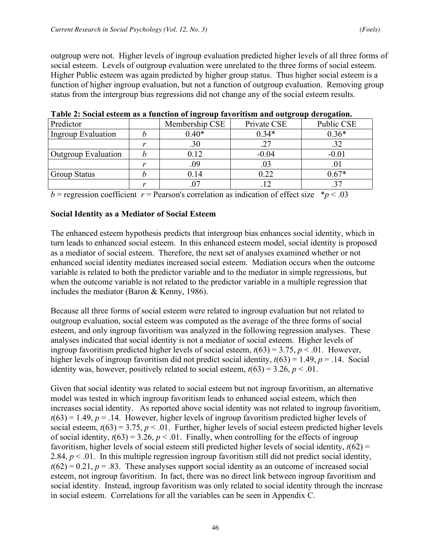outgroup were not. Higher levels of ingroup evaluation predicted higher levels of all three forms of social esteem. Levels of outgroup evaluation were unrelated to the three forms of social esteem. Higher Public esteem was again predicted by higher group status. Thus higher social esteem is a function of higher ingroup evaluation, but not a function of outgroup evaluation. Removing group status from the intergroup bias regressions did not change any of the social esteem results.

| Predictor                  | Membership CSE | Private CSE | Public CSE |
|----------------------------|----------------|-------------|------------|
| Ingroup Evaluation         | $0.40*$        | $0.34*$     | $0.36*$    |
|                            | .30            | .27         |            |
| <b>Outgroup Evaluation</b> | 0.12           | $-0.04$     | $-0.01$    |
|                            | .09            | .03         | .U l       |
| <b>Group Status</b>        | 0.14           | 0.22        | $0.67*$    |
|                            |                |             |            |

**Table 2: Social esteem as a function of ingroup favoritism and outgroup derogation.**

 $b$  = regression coefficient *r* = Pearson's correlation as indication of effect size  $* p < .03$ 

#### **Social Identity as a Mediator of Social Esteem**

The enhanced esteem hypothesis predicts that intergroup bias enhances social identity, which in turn leads to enhanced social esteem. In this enhanced esteem model, social identity is proposed as a mediator of social esteem. Therefore, the next set of analyses examined whether or not enhanced social identity mediates increased social esteem. Mediation occurs when the outcome variable is related to both the predictor variable and to the mediator in simple regressions, but when the outcome variable is not related to the predictor variable in a multiple regression that includes the mediator (Baron & Kenny, 1986).

Because all three forms of social esteem were related to ingroup evaluation but not related to outgroup evaluation, social esteem was computed as the average of the three forms of social esteem, and only ingroup favoritism was analyzed in the following regression analyses. These analyses indicated that social identity is not a mediator of social esteem. Higher levels of ingroup favoritism predicted higher levels of social esteem,  $t(63) = 3.75$ ,  $p < .01$ . However, higher levels of ingroup favoritism did not predict social identity, *t*(63) = 1.49, *p* = .14. Social identity was, however, positively related to social esteem,  $t(63) = 3.26$ ,  $p < .01$ .

Given that social identity was related to social esteem but not ingroup favoritism, an alternative model was tested in which ingroup favoritism leads to enhanced social esteem, which then increases social identity. As reported above social identity was not related to ingroup favoritism,  $t(63) = 1.49$ ,  $p = .14$ . However, higher levels of ingroup favoritism predicted higher levels of social esteem,  $t(63) = 3.75$ ,  $p < 0.01$ . Further, higher levels of social esteem predicted higher levels of social identity,  $t(63) = 3.26$ ,  $p < .01$ . Finally, when controlling for the effects of ingroup favoritism, higher levels of social esteem still predicted higher levels of social identity,  $t(62)$  = 2.84,  $p < 0.01$ . In this multiple regression ingroup favoritism still did not predict social identity,  $t(62) = 0.21$ ,  $p = .83$ . These analyses support social identity as an outcome of increased social esteem, not ingroup favoritism. In fact, there was no direct link between ingroup favoritism and social identity. Instead, ingroup favoritism was only related to social identity through the increase in social esteem. Correlations for all the variables can be seen in Appendix C.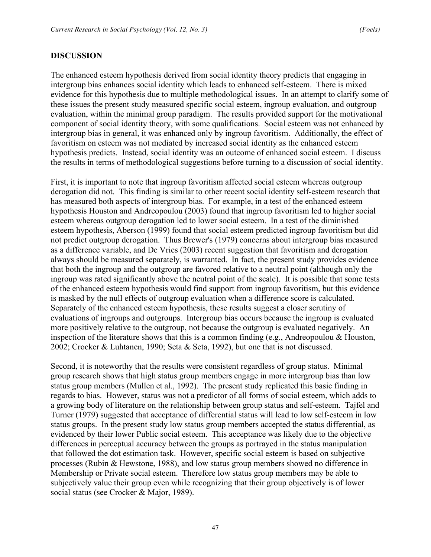#### **DISCUSSION**

The enhanced esteem hypothesis derived from social identity theory predicts that engaging in intergroup bias enhances social identity which leads to enhanced self-esteem. There is mixed evidence for this hypothesis due to multiple methodological issues. In an attempt to clarify some of these issues the present study measured specific social esteem, ingroup evaluation, and outgroup evaluation, within the minimal group paradigm. The results provided support for the motivational component of social identity theory, with some qualifications. Social esteem was not enhanced by intergroup bias in general, it was enhanced only by ingroup favoritism. Additionally, the effect of favoritism on esteem was not mediated by increased social identity as the enhanced esteem hypothesis predicts. Instead, social identity was an outcome of enhanced social esteem. I discuss the results in terms of methodological suggestions before turning to a discussion of social identity.

First, it is important to note that ingroup favoritism affected social esteem whereas outgroup derogation did not. This finding is similar to other recent social identity self-esteem research that has measured both aspects of intergroup bias. For example, in a test of the enhanced esteem hypothesis Houston and Andreopoulou (2003) found that ingroup favoritism led to higher social esteem whereas outgroup derogation led to lower social esteem. In a test of the diminished esteem hypothesis, Aberson (1999) found that social esteem predicted ingroup favoritism but did not predict outgroup derogation. Thus Brewer's (1979) concerns about intergroup bias measured as a difference variable, and De Vries (2003) recent suggestion that favoritism and derogation always should be measured separately, is warranted. In fact, the present study provides evidence that both the ingroup and the outgroup are favored relative to a neutral point (although only the ingroup was rated significantly above the neutral point of the scale). It is possible that some tests of the enhanced esteem hypothesis would find support from ingroup favoritism, but this evidence is masked by the null effects of outgroup evaluation when a difference score is calculated. Separately of the enhanced esteem hypothesis, these results suggest a closer scrutiny of evaluations of ingroups and outgroups. Intergroup bias occurs because the ingroup is evaluated more positively relative to the outgroup, not because the outgroup is evaluated negatively. An inspection of the literature shows that this is a common finding (e.g., Andreopoulou & Houston, 2002; Crocker & Luhtanen, 1990; Seta & Seta, 1992), but one that is not discussed.

Second, it is noteworthy that the results were consistent regardless of group status. Minimal group research shows that high status group members engage in more intergroup bias than low status group members (Mullen et al., 1992). The present study replicated this basic finding in regards to bias. However, status was not a predictor of all forms of social esteem, which adds to a growing body of literature on the relationship between group status and self-esteem. Tajfel and Turner (1979) suggested that acceptance of differential status will lead to low self-esteem in low status groups. In the present study low status group members accepted the status differential, as evidenced by their lower Public social esteem. This acceptance was likely due to the objective differences in perceptual accuracy between the groups as portrayed in the status manipulation that followed the dot estimation task. However, specific social esteem is based on subjective processes (Rubin & Hewstone, 1988), and low status group members showed no difference in Membership or Private social esteem. Therefore low status group members may be able to subjectively value their group even while recognizing that their group objectively is of lower social status (see Crocker & Major, 1989).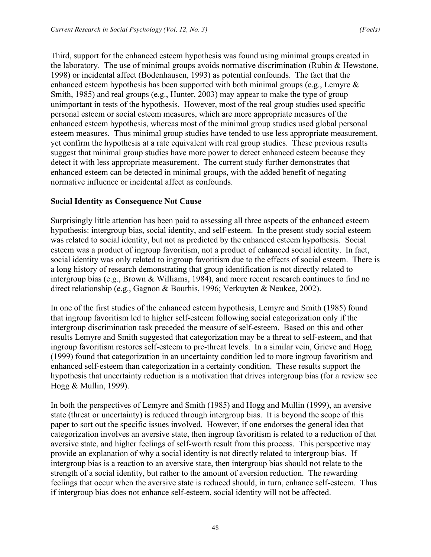Third, support for the enhanced esteem hypothesis was found using minimal groups created in the laboratory. The use of minimal groups avoids normative discrimination (Rubin & Hewstone, 1998) or incidental affect (Bodenhausen, 1993) as potential confounds. The fact that the enhanced esteem hypothesis has been supported with both minimal groups (e.g., Lemyre  $\&$ Smith, 1985) and real groups (e.g., Hunter, 2003) may appear to make the type of group unimportant in tests of the hypothesis. However, most of the real group studies used specific personal esteem or social esteem measures, which are more appropriate measures of the enhanced esteem hypothesis, whereas most of the minimal group studies used global personal esteem measures. Thus minimal group studies have tended to use less appropriate measurement, yet confirm the hypothesis at a rate equivalent with real group studies. These previous results suggest that minimal group studies have more power to detect enhanced esteem because they detect it with less appropriate measurement. The current study further demonstrates that enhanced esteem can be detected in minimal groups, with the added benefit of negating normative influence or incidental affect as confounds.

# **Social Identity as Consequence Not Cause**

Surprisingly little attention has been paid to assessing all three aspects of the enhanced esteem hypothesis: intergroup bias, social identity, and self-esteem. In the present study social esteem was related to social identity, but not as predicted by the enhanced esteem hypothesis. Social esteem was a product of ingroup favoritism, not a product of enhanced social identity. In fact, social identity was only related to ingroup favoritism due to the effects of social esteem. There is a long history of research demonstrating that group identification is not directly related to intergroup bias (e.g., Brown & Williams, 1984), and more recent research continues to find no direct relationship (e.g., Gagnon & Bourhis, 1996; Verkuyten & Neukee, 2002).

In one of the first studies of the enhanced esteem hypothesis, Lemyre and Smith (1985) found that ingroup favoritism led to higher self-esteem following social categorization only if the intergroup discrimination task preceded the measure of self-esteem. Based on this and other results Lemyre and Smith suggested that categorization may be a threat to self-esteem, and that ingroup favoritism restores self-esteem to pre-threat levels. In a similar vein, Grieve and Hogg (1999) found that categorization in an uncertainty condition led to more ingroup favoritism and enhanced self-esteem than categorization in a certainty condition. These results support the hypothesis that uncertainty reduction is a motivation that drives intergroup bias (for a review see Hogg & Mullin, 1999).

In both the perspectives of Lemyre and Smith (1985) and Hogg and Mullin (1999), an aversive state (threat or uncertainty) is reduced through intergroup bias. It is beyond the scope of this paper to sort out the specific issues involved. However, if one endorses the general idea that categorization involves an aversive state, then ingroup favoritism is related to a reduction of that aversive state, and higher feelings of self-worth result from this process. This perspective may provide an explanation of why a social identity is not directly related to intergroup bias. If intergroup bias is a reaction to an aversive state, then intergroup bias should not relate to the strength of a social identity, but rather to the amount of aversion reduction. The rewarding feelings that occur when the aversive state is reduced should, in turn, enhance self-esteem. Thus if intergroup bias does not enhance self-esteem, social identity will not be affected.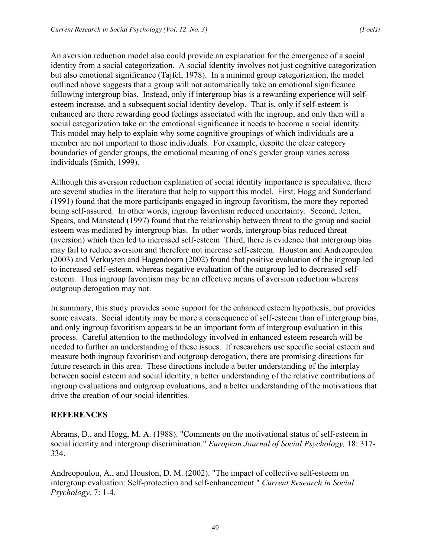An aversion reduction model also could provide an explanation for the emergence of a social identity from a social categorization. A social identity involves not just cognitive categorization but also emotional significance (Tajfel, 1978). In a minimal group categorization, the model outlined above suggests that a group will not automatically take on emotional significance following intergroup bias. Instead, only if intergroup bias is a rewarding experience will selfesteem increase, and a subsequent social identity develop. That is, only if self-esteem is enhanced are there rewarding good feelings associated with the ingroup, and only then will a social categorization take on the emotional significance it needs to become a social identity. This model may help to explain why some cognitive groupings of which individuals are a member are not important to those individuals. For example, despite the clear category boundaries of gender groups, the emotional meaning of one's gender group varies across individuals (Smith, 1999).

Although this aversion reduction explanation of social identity importance is speculative, there are several studies in the literature that help to support this model. First, Hogg and Sunderland (1991) found that the more participants engaged in ingroup favoritism, the more they reported being self-assured. In other words, ingroup favoritism reduced uncertainty. Second, Jetten, Spears, and Manstead (1997) found that the relationship between threat to the group and social esteem was mediated by intergroup bias. In other words, intergroup bias reduced threat (aversion) which then led to increased self-esteem Third, there is evidence that intergroup bias may fail to reduce aversion and therefore not increase self-esteem. Houston and Andreopoulou (2003) and Verkuyten and Hagendoorn (2002) found that positive evaluation of the ingroup led to increased self-esteem, whereas negative evaluation of the outgroup led to decreased selfesteem. Thus ingroup favoritism may be an effective means of aversion reduction whereas outgroup derogation may not.

In summary, this study provides some support for the enhanced esteem hypothesis, but provides some caveats. Social identity may be more a consequence of self-esteem than of intergroup bias, and only ingroup favoritism appears to be an important form of intergroup evaluation in this process. Careful attention to the methodology involved in enhanced esteem research will be needed to further an understanding of these issues. If researchers use specific social esteem and measure both ingroup favoritism and outgroup derogation, there are promising directions for future research in this area. These directions include a better understanding of the interplay between social esteem and social identity, a better understanding of the relative contributions of ingroup evaluations and outgroup evaluations, and a better understanding of the motivations that drive the creation of our social identities.

#### **REFERENCES**

Abrams, D., and Hogg, M. A. (1988). "Comments on the motivational status of self-esteem in social identity and intergroup discrimination." *European Journal of Social Psychology,* 18: 317- 334.

Andreopoulou, A., and Houston, D. M. (2002). "The impact of collective self-esteem on intergroup evaluation: Self-protection and self-enhancement." *Current Research in Social Psychology,* 7: 1-4.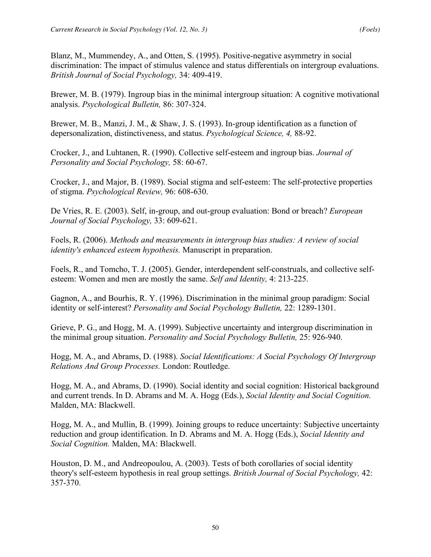Blanz, M., Mummendey, A., and Otten, S. (1995). Positive-negative asymmetry in social discrimination: The impact of stimulus valence and status differentials on intergroup evaluations. *British Journal of Social Psychology,* 34: 409-419.

Brewer, M. B. (1979). Ingroup bias in the minimal intergroup situation: A cognitive motivational analysis. *Psychological Bulletin,* 86: 307-324.

Brewer, M. B., Manzi, J. M., & Shaw, J. S. (1993). In-group identification as a function of depersonalization, distinctiveness, and status. *Psychological Science, 4,* 88-92.

Crocker, J., and Luhtanen, R. (1990). Collective self-esteem and ingroup bias. *Journal of Personality and Social Psychology,* 58: 60-67.

Crocker, J., and Major, B. (1989). Social stigma and self-esteem: The self-protective properties of stigma. *Psychological Review,* 96: 608-630.

De Vries, R. E. (2003). Self, in-group, and out-group evaluation: Bond or breach? *European Journal of Social Psychology,* 33: 609-621.

Foels, R. (2006). *Methods and measurements in intergroup bias studies: A review of social identity's enhanced esteem hypothesis.* Manuscript in preparation.

Foels, R., and Tomcho, T. J. (2005). Gender, interdependent self-construals, and collective selfesteem: Women and men are mostly the same. *Self and Identity,* 4: 213-225.

Gagnon, A., and Bourhis, R. Y. (1996). Discrimination in the minimal group paradigm: Social identity or self-interest? *Personality and Social Psychology Bulletin,* 22: 1289-1301.

Grieve, P. G., and Hogg, M. A. (1999). Subjective uncertainty and intergroup discrimination in the minimal group situation. *Personality and Social Psychology Bulletin,* 25: 926-940.

Hogg, M. A., and Abrams, D. (1988). *Social Identifications: A Social Psychology Of Intergroup Relations And Group Processes.* London: Routledge.

Hogg, M. A., and Abrams, D. (1990). Social identity and social cognition: Historical background and current trends. In D. Abrams and M. A. Hogg (Eds.), *Social Identity and Social Cognition.* Malden, MA: Blackwell.

Hogg, M. A., and Mullin, B. (1999). Joining groups to reduce uncertainty: Subjective uncertainty reduction and group identification. In D. Abrams and M. A. Hogg (Eds.), *Social Identity and Social Cognition.* Malden, MA: Blackwell.

Houston, D. M., and Andreopoulou, A. (2003). Tests of both corollaries of social identity theory's self-esteem hypothesis in real group settings. *British Journal of Social Psychology,* 42: 357-370.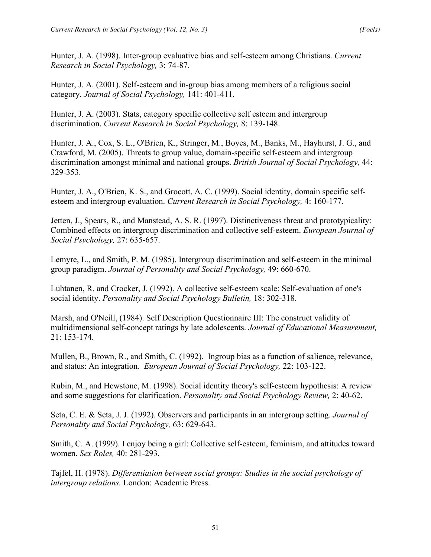Hunter, J. A. (1998). Inter-group evaluative bias and self-esteem among Christians. *Current Research in Social Psychology,* 3: 74-87.

Hunter, J. A. (2001). Self-esteem and in-group bias among members of a religious social category. *Journal of Social Psychology,* 141: 401-411.

Hunter, J. A. (2003). Stats, category specific collective self esteem and intergroup discrimination. *Current Research in Social Psychology,* 8: 139-148.

Hunter, J. A., Cox, S. L., O'Brien, K., Stringer, M., Boyes, M., Banks, M., Hayhurst, J. G., and Crawford, M. (2005). Threats to group value, domain-specific self-esteem and intergroup discrimination amongst minimal and national groups. *British Journal of Social Psychology,* 44: 329-353.

Hunter, J. A., O'Brien, K. S., and Grocott, A. C. (1999). Social identity, domain specific selfesteem and intergroup evaluation. *Current Research in Social Psychology,* 4: 160-177.

Jetten, J., Spears, R., and Manstead, A. S. R. (1997). Distinctiveness threat and prototypicality: Combined effects on intergroup discrimination and collective self-esteem. *European Journal of Social Psychology,* 27: 635-657.

Lemyre, L., and Smith, P. M. (1985). Intergroup discrimination and self-esteem in the minimal group paradigm. *Journal of Personality and Social Psychology,* 49: 660-670.

Luhtanen, R. and Crocker, J. (1992). A collective self-esteem scale: Self-evaluation of one's social identity. *Personality and Social Psychology Bulletin,* 18: 302-318.

Marsh, and O'Neill, (1984). Self Description Questionnaire III: The construct validity of multidimensional self-concept ratings by late adolescents. *Journal of Educational Measurement,*  21: 153-174.

Mullen, B., Brown, R., and Smith, C. (1992). Ingroup bias as a function of salience, relevance, and status: An integration. *European Journal of Social Psychology,* 22: 103-122.

Rubin, M., and Hewstone, M. (1998). Social identity theory's self-esteem hypothesis: A review and some suggestions for clarification. *Personality and Social Psychology Review,* 2: 40-62.

Seta, C. E. & Seta, J. J. (1992). Observers and participants in an intergroup setting. *Journal of Personality and Social Psychology,* 63: 629-643.

Smith, C. A. (1999). I enjoy being a girl: Collective self-esteem, feminism, and attitudes toward women. *Sex Roles,* 40: 281-293.

Tajfel, H. (1978). *Differentiation between social groups: Studies in the social psychology of intergroup relations.* London: Academic Press.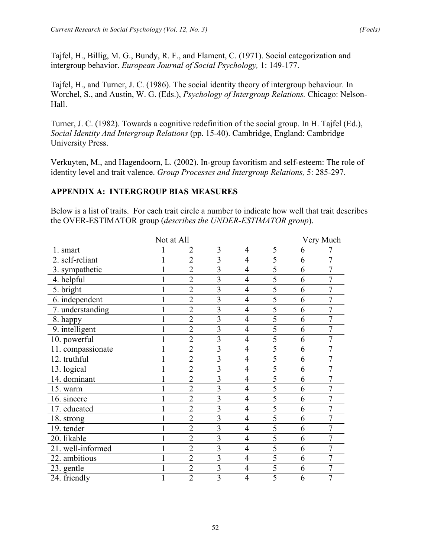Tajfel, H., Billig, M. G., Bundy, R. F., and Flament, C. (1971). Social categorization and intergroup behavior. *European Journal of Social Psychology,* 1: 149-177.

Tajfel, H., and Turner, J. C. (1986). The social identity theory of intergroup behaviour. In Worchel, S., and Austin, W. G. (Eds.), *Psychology of Intergroup Relations.* Chicago: Nelson-Hall.

Turner, J. C. (1982). Towards a cognitive redefinition of the social group. In H. Tajfel (Ed.), *Social Identity And Intergroup Relations* (pp. 15-40). Cambridge, England: Cambridge University Press.

Verkuyten, M., and Hagendoorn, L. (2002). In-group favoritism and self-esteem: The role of identity level and trait valence. *Group Processes and Intergroup Relations,* 5: 285-297.

#### **APPENDIX A: INTERGROUP BIAS MEASURES**

Below is a list of traits. For each trait circle a number to indicate how well that trait describes the OVER-ESTIMATOR group (*describes the UNDER-ESTIMATOR group*).

|                   | Not at All |                |                |                |   |   | Very Much |
|-------------------|------------|----------------|----------------|----------------|---|---|-----------|
| 1. smart          |            | 2              | 3              | $\overline{4}$ | 5 | 6 |           |
| 2. self-reliant   |            | $\overline{2}$ | $\overline{3}$ | $\overline{4}$ | 5 | 6 | 7         |
| 3. sympathetic    |            | $\overline{2}$ | 3              | $\overline{4}$ | 5 | 6 | 7         |
| 4. helpful        |            | $\overline{2}$ | 3              | $\overline{4}$ | 5 | 6 | 7         |
| 5. bright         |            | $\overline{2}$ | 3              | $\overline{4}$ | 5 | 6 | 7         |
| 6. independent    |            | $\overline{2}$ | $\overline{3}$ | $\overline{4}$ | 5 | 6 | 7         |
| 7. understanding  |            | $\overline{2}$ | 3              | $\overline{4}$ | 5 | 6 | 7         |
| 8. happy          |            | $\overline{2}$ | $\overline{3}$ | $\overline{4}$ | 5 | 6 | 7         |
| 9. intelligent    |            | $\overline{2}$ | 3              | $\overline{4}$ | 5 | 6 | 7         |
| 10. powerful      |            | $\overline{2}$ | $\overline{3}$ | $\overline{4}$ | 5 | 6 | 7         |
| 11. compassionate |            | $\overline{2}$ | 3              | $\overline{4}$ | 5 | 6 | 7         |
| 12. truthful      |            | $\overline{2}$ | 3              | $\overline{4}$ | 5 | 6 | 7         |
| 13. logical       |            | $\overline{2}$ | 3              | $\overline{4}$ | 5 | 6 |           |
| 14. dominant      |            | $\overline{2}$ | 3              | $\overline{4}$ | 5 | 6 |           |
| 15. warm          |            | $\overline{2}$ | 3              | $\overline{4}$ | 5 | 6 | 7         |
| 16. sincere       |            | $\overline{2}$ | 3              | $\overline{4}$ | 5 | 6 |           |
| 17. educated      |            | $\overline{2}$ | $\overline{3}$ | $\overline{4}$ | 5 | 6 | 7         |
| 18. strong        |            | $\overline{2}$ | 3              | $\overline{4}$ | 5 | 6 |           |
| 19. tender        |            | $\overline{2}$ | $\overline{3}$ | $\overline{4}$ | 5 | 6 | 7         |
| 20. likable       |            | $\overline{2}$ | $\overline{3}$ | $\overline{4}$ | 5 | 6 | 7         |
| 21. well-informed |            | $\overline{2}$ | 3              | $\overline{4}$ | 5 | 6 |           |
| 22. ambitious     |            | $\overline{2}$ | $\overline{3}$ | $\overline{4}$ | 5 | 6 | 7         |
| 23. gentle        |            | $\overline{2}$ | $\overline{3}$ | $\overline{4}$ | 5 | 6 | 7         |
| 24. friendly      |            | $\overline{2}$ | 3              | $\overline{4}$ | 5 | 6 | 7         |